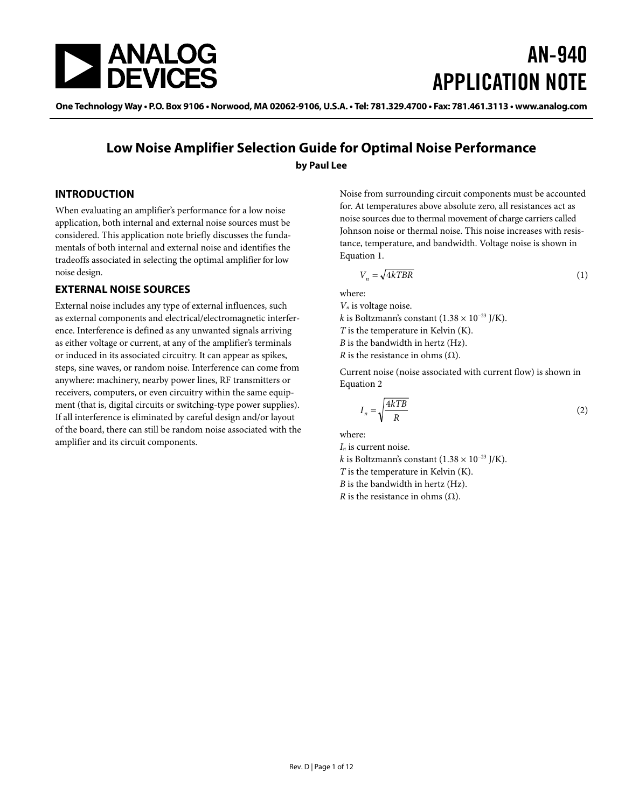

# AN-940 APPLICATION NOTE

One Technology Way • P.O. Box 9106 • Norwood, MA 02062-9106, U.S.A. • Tel: 781.329.4700 • Fax: 781.461.3113 • www.analog.com

### **Low Noise Amplifier Selection Guide for Optimal Noise Performance by Paul Lee**

#### **INTRODUCTION**

When evaluating an amplifier's performance for a low noise application, both internal and external noise sources must be considered. This application note briefly discusses the fundamentals of both internal and external noise and identifies the tradeoffs associated in selecting the optimal amplifier for low noise design.

#### **EXTERNAL NOISE SOURCES**

External noise includes any type of external influences, such as external components and electrical/electromagnetic interference. Interference is defined as any unwanted signals arriving as either voltage or current, at any of the amplifier's terminals or induced in its associated circuitry. It can appear as spikes, steps, sine waves, or random noise. Interference can come from anywhere: machinery, nearby power lines, RF transmitters or receivers, computers, or even circuitry within the same equipment (that is, digital circuits or switching-type power supplies). If all interference is eliminated by careful design and/or layout of the board, there can still be random noise associated with the amplifier and its circuit components.

Noise from surrounding circuit components must be accounted for. At temperatures above absolute zero, all resistances act as noise sources due to thermal movement of charge carriers called Johnson noise or thermal noise. This noise increases with resistance, temperature, and bandwidth. Voltage noise is shown in Equation 1.

$$
V_n = \sqrt{4kTBR} \tag{1}
$$

where:

*Vn* is voltage noise.

*k* is Boltzmann's constant (1.38  $\times$  10<sup>-23</sup> J/K).

*T* is the temperature in Kelvin (K).

*B* is the bandwidth in hertz (Hz).

*R* is the resistance in ohms  $(Ω)$ .

Current noise (noise associated with current flow) is shown in Equation 2

$$
I_n = \sqrt{\frac{4kTB}{R}}
$$
 (2)

where:

*In* is current noise. *k* is Boltzmann's constant (1.38  $\times$  10<sup>-23</sup> J/K).

*T* is the temperature in Kelvin (K).

*B* is the bandwidth in hertz (Hz).

*R* is the resistance in ohms  $(Ω)$ .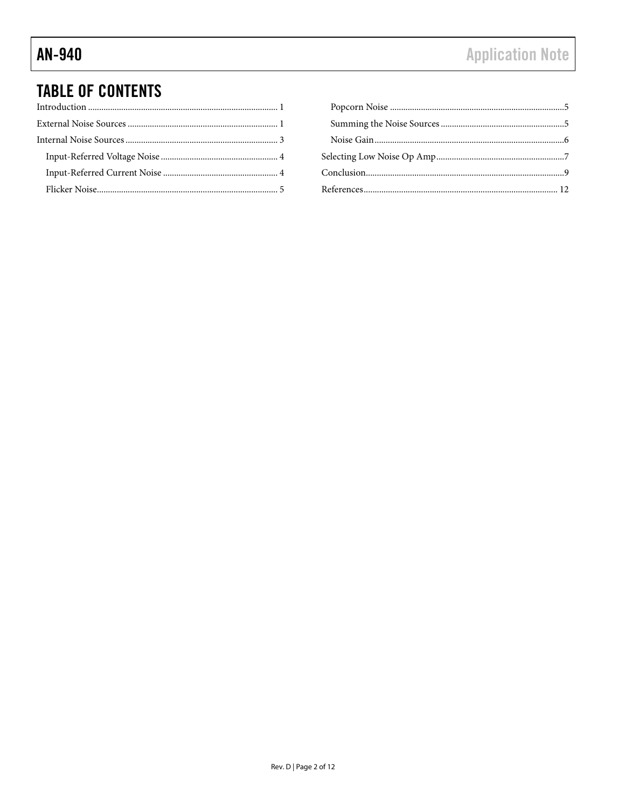# **TABLE OF CONTENTS**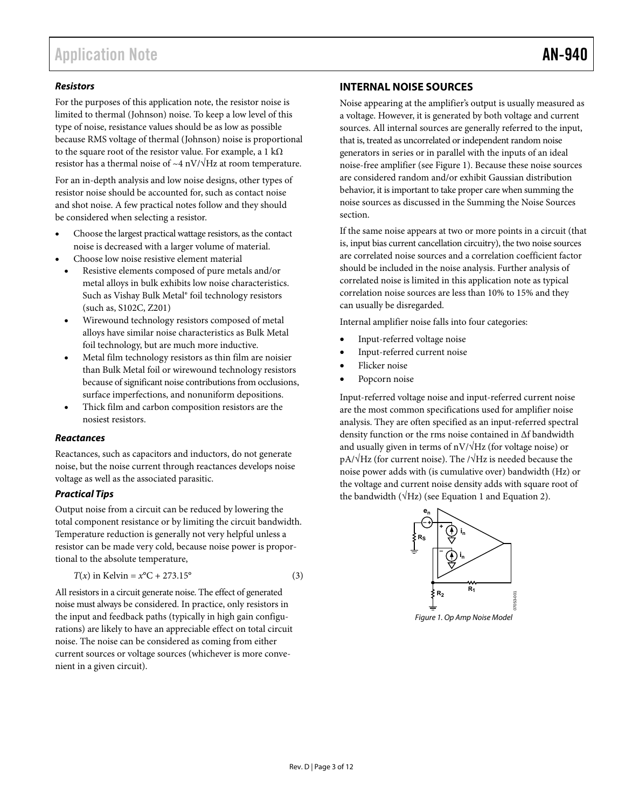#### **Resistors**

For the purposes of this application note, the resistor noise is limited to thermal (Johnson) noise. To keep a low level of this type of noise, resistance values should be as low as possible because RMS voltage of thermal (Johnson) noise is proportional to the square root of the resistor value. For example, a 1 k $\Omega$ resistor has a thermal noise of  $~\sim$ 4 nV/ $\sqrt{Hz}$  at room temperature.

For an in-depth analysis and low noise designs, other types of resistor noise should be accounted for, such as contact noise and shot noise. A few practical notes follow and they should be considered when selecting a resistor.

- Choose the largest practical wattage resistors, as the contact noise is decreased with a larger volume of material.
- Choose low noise resistive element material
	- Resistive elements composed of pure metals and/or metal alloys in bulk exhibits low noise characteristics. Such as Vishay Bulk Metal® foil technology resistors (such as, S102C, Z201)
	- Wirewound technology resistors composed of metal alloys have similar noise characteristics as Bulk Metal foil technology, but are much more inductive.
	- Metal film technology resistors as thin film are noisier than Bulk Metal foil or wirewound technology resistors because of significant noise contributions from occlusions, surface imperfections, and nonuniform depositions.
	- Thick film and carbon composition resistors are the nosiest resistors.

#### **Reactances**

Reactances, such as capacitors and inductors, do not generate noise, but the noise current through reactances develops noise voltage as well as the associated parasitic.

#### **Practical Tips**

Output noise from a circuit can be reduced by lowering the total component resistance or by limiting the circuit bandwidth. Temperature reduction is generally not very helpful unless a resistor can be made very cold, because noise power is proportional to the absolute temperature,

$$
T(x) \text{ in Kelvin} = x^{\circ}C + 273.15^{\circ} \tag{3}
$$

All resistors in a circuit generate noise. The effect of generated noise must always be considered. In practice, only resistors in the input and feedback paths (typically in high gain configurations) are likely to have an appreciable effect on total circuit noise. The noise can be considered as coming from either current sources or voltage sources (whichever is more convenient in a given circuit).

### **INTERNAL NOISE SOURCES**

Noise appearing at the amplifier's output is usually measured as a voltage. However, it is generated by both voltage and current sources. All internal sources are generally referred to the input, that is, treated as uncorrelated or independent random noise generators in series or in parallel with the inputs of an ideal noise-free amplifier (see Figure 1). Because these noise sources are considered random and/or exhibit Gaussian distribution behavior, it is important to take proper care when summing the noise sources as discussed in the Summing the Noise Sources section.

If the same noise appears at two or more points in a circuit (that is, input bias current cancellation circuitry), the two noise sources are correlated noise sources and a correlation coefficient factor should be included in the noise analysis. Further analysis of correlated noise is limited in this application note as typical correlation noise sources are less than 10% to 15% and they can usually be disregarded.

Internal amplifier noise falls into four categories:

- Input-referred voltage noise
- Input-referred current noise
- Flicker noise
- Popcorn noise

Input-referred voltage noise and input-referred current noise are the most common specifications used for amplifier noise analysis. They are often specified as an input-referred spectral density function or the rms noise contained in Δf bandwidth and usually given in terms of  $nV/\sqrt{Hz}$  (for voltage noise) or  $pA/\sqrt{Hz}$  (for current noise). The  $/\sqrt{Hz}$  is needed because the noise power adds with (is cumulative over) bandwidth (Hz) or the voltage and current noise density adds with square root of the bandwidth ( $\sqrt{Hz}$ ) (see Equation 1 and Equation 2).



Figure 1. Op Amp Noise Model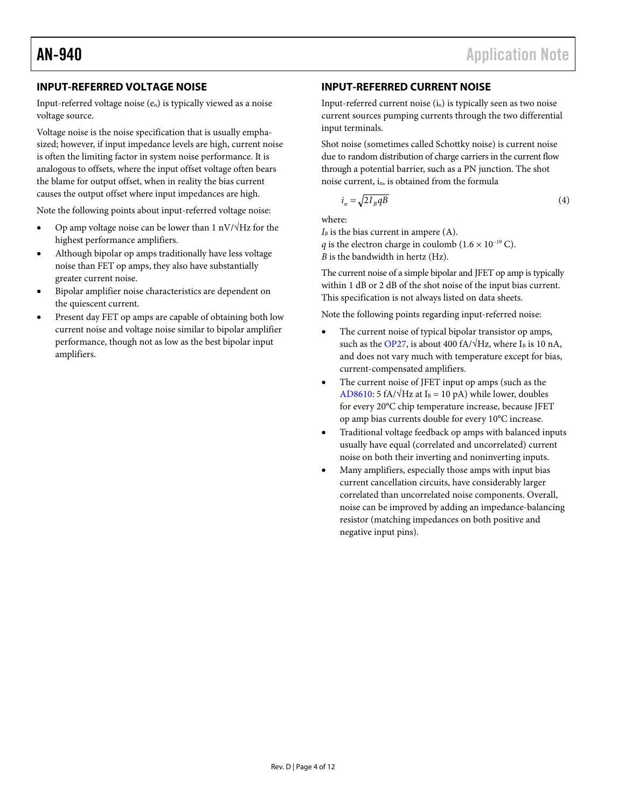#### **INPUT-REFERRED VOLTAGE NOISE**

Input-referred voltage noise (en) is typically viewed as a noise voltage source.

Voltage noise is the noise specification that is usually emphasized; however, if input impedance levels are high, current noise is often the limiting factor in system noise performance. It is analogous to offsets, where the input offset voltage often bears the blame for output offset, when in reality the bias current causes the output offset where input impedances are high.

Note the following points about input-referred voltage noise:

- Op amp voltage noise can be lower than 1 nV/√Hz for the highest performance amplifiers.
- Although bipolar op amps traditionally have less voltage noise than FET op amps, they also have substantially greater current noise.
- Bipolar amplifier noise characteristics are dependent on the quiescent current.
- Present day FET op amps are capable of obtaining both low current noise and voltage noise similar to bipolar amplifier performance, though not as low as the best bipolar input amplifiers.

### **INPUT-REFERRED CURRENT NOISE**

Input-referred current noise  $(i_n)$  is typically seen as two noise current sources pumping currents through the two differential input terminals.

Shot noise (sometimes called Schottky noise) is current noise due to random distribution of charge carriers in the current flow through a potential barrier, such as a PN junction. The shot noise current, in, is obtained from the formula

$$
i_n = \sqrt{2I_B qB} \tag{4}
$$

where:

 $I_B$  is the bias current in ampere  $(A)$ .

*q* is the electron charge in coulomb ( $1.6 \times 10^{-19}$  C).

*B* is the bandwidth in hertz (Hz).

The current noise of a simple bipolar and JFET op amp is typically within 1 dB or 2 dB of the shot noise of the input bias current. This specification is not always listed on data sheets.

Note the following points regarding input-referred noise:

- The current noise of typical bipolar transistor op amps, such as the OP27, is about 400 fA/ $\sqrt{Hz}$ , where I<sub>B</sub> is 10 nA, and does not vary much with temperature except for bias, current-compensated amplifiers.
- The current noise of JFET input op amps (such as the AD8610: 5 fA/ $\sqrt{Hz}$  at I<sub>B</sub> = 10 pA) while lower, doubles for every 20°C chip temperature increase, because JFET op amp bias currents double for every 10°C increase.
- Traditional voltage feedback op amps with balanced inputs usually have equal (correlated and uncorrelated) current noise on both their inverting and noninverting inputs.
- Many amplifiers, especially those amps with input bias current cancellation circuits, have considerably larger correlated than uncorrelated noise components. Overall, noise can be improved by adding an impedance-balancing resistor (matching impedances on both positive and negative input pins).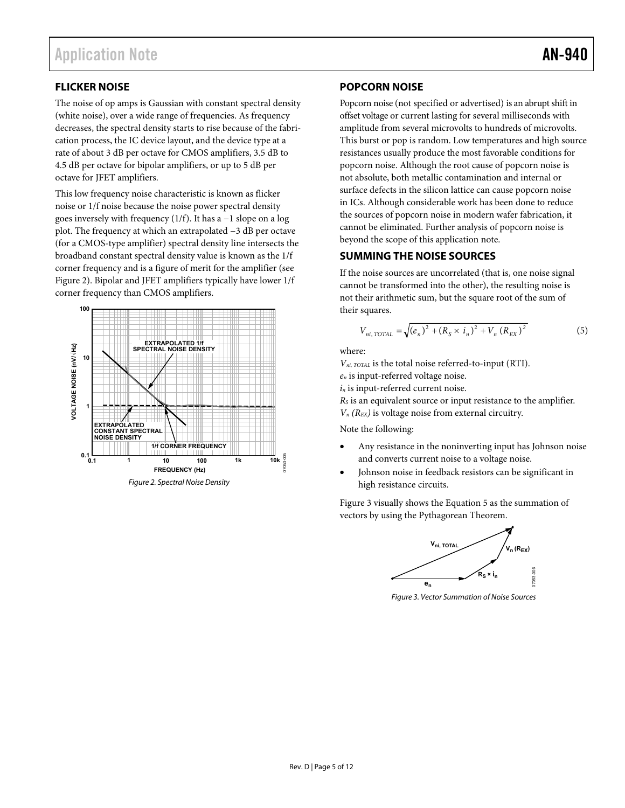### **FLICKER NOISE**

The noise of op amps is Gaussian with constant spectral density (white noise), over a wide range of frequencies. As frequency decreases, the spectral density starts to rise because of the fabrication process, the IC device layout, and the device type at a rate of about 3 dB per octave for CMOS amplifiers, 3.5 dB to 4.5 dB per octave for bipolar amplifiers, or up to 5 dB per octave for JFET amplifiers.

This low frequency noise characteristic is known as flicker noise or 1/f noise because the noise power spectral density goes inversely with frequency (1/f). It has a −1 slope on a log plot. The frequency at which an extrapolated −3 dB per octave (for a CMOS-type amplifier) spectral density line intersects the broadband constant spectral density value is known as the 1/f corner frequency and is a figure of merit for the amplifier (see Figure 2). Bipolar and JFET amplifiers typically have lower 1/f corner frequency than CMOS amplifiers.



#### **POPCORN NOISE**

Popcorn noise (not specified or advertised) is an abrupt shift in offset voltage or current lasting for several milliseconds with amplitude from several microvolts to hundreds of microvolts. This burst or pop is random. Low temperatures and high source resistances usually produce the most favorable conditions for popcorn noise. Although the root cause of popcorn noise is not absolute, both metallic contamination and internal or surface defects in the silicon lattice can cause popcorn noise in ICs. Although considerable work has been done to reduce the sources of popcorn noise in modern wafer fabrication, it cannot be eliminated. Further analysis of popcorn noise is beyond the scope of this application note.

#### **SUMMING THE NOISE SOURCES**

If the noise sources are uncorrelated (that is, one noise signal cannot be transformed into the other), the resulting noise is not their arithmetic sum, but the square root of the sum of their squares.

$$
V_{ni, TOTAL} = \sqrt{(e_n)^2 + (R_S \times i_n)^2 + V_n (R_{EX})^2}
$$
 (5)

where:

*Vni, TOTAL* is the total noise referred-to-input (RTI).

*en* is input-referred voltage noise.

*in* is input-referred current noise.

*RS* is an equivalent source or input resistance to the amplifier.

*Vn (REX)* is voltage noise from external circuitry.

#### Note the following:

- Any resistance in the noninverting input has Johnson noise and converts current noise to a voltage noise.
- Johnson noise in feedback resistors can be significant in high resistance circuits.

Figure 3 visually shows the Equation 5 as the summation of vectors by using the Pythagorean Theorem.



Figure 3. Vector Summation of Noise Sources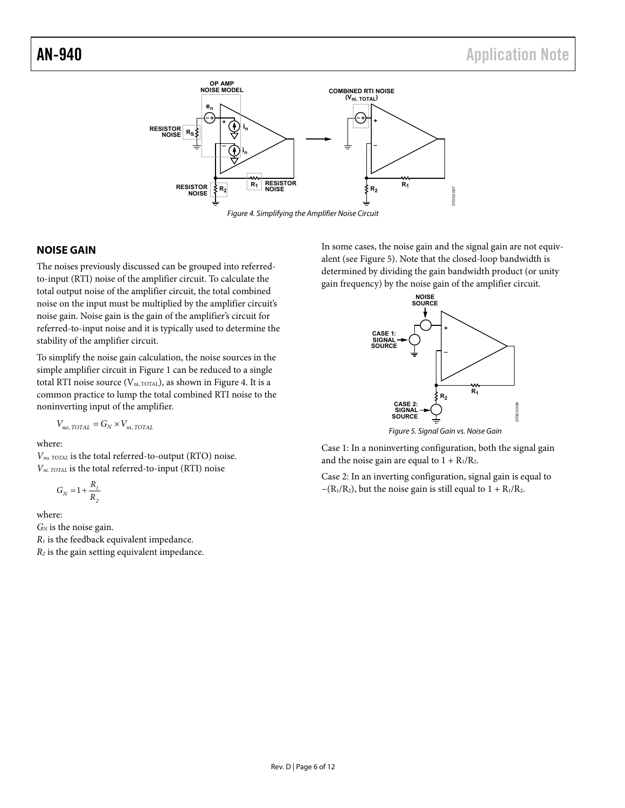

#### **NOISE GAIN**

The noises previously discussed can be grouped into referredto-input (RTI) noise of the amplifier circuit. To calculate the total output noise of the amplifier circuit, the total combined noise on the input must be multiplied by the amplifier circuit's noise gain. Noise gain is the gain of the amplifier's circuit for referred-to-input noise and it is typically used to determine the stability of the amplifier circuit.

To simplify the noise gain calculation, the noise sources in the simple amplifier circuit in Figure 1 can be reduced to a single total RTI noise source ( $V_{ni, TOTAL}$ ), as shown in Figure 4. It is a common practice to lump the total combined RTI noise to the noninverting input of the amplifier.

$$
V_{no, TOTAL} = G_N \times V_{ni, TOTAL}
$$

where:

*Vno, TOTAL* is the total referred-to-output (RTO) noise. *Vni, TOTAL* is the total referred-to-input (RTI) noise

$$
G_N = 1 + \frac{R_1}{R_2}
$$

where:

*GN* is the noise gain. *R1* is the feedback equivalent impedance. *R2* is the gain setting equivalent impedance. In some cases, the noise gain and the signal gain are not equivalent (see Figure 5). Note that the closed-loop bandwidth is determined by dividing the gain bandwidth product (or unity gain frequency) by the noise gain of the amplifier circuit.



Case 1: In a noninverting configuration, both the signal gain and the noise gain are equal to  $1 + R_1/R_2$ .

Case 2: In an inverting configuration, signal gain is equal to  $-(R_1/R_2)$ , but the noise gain is still equal to  $1 + R_1/R_2$ .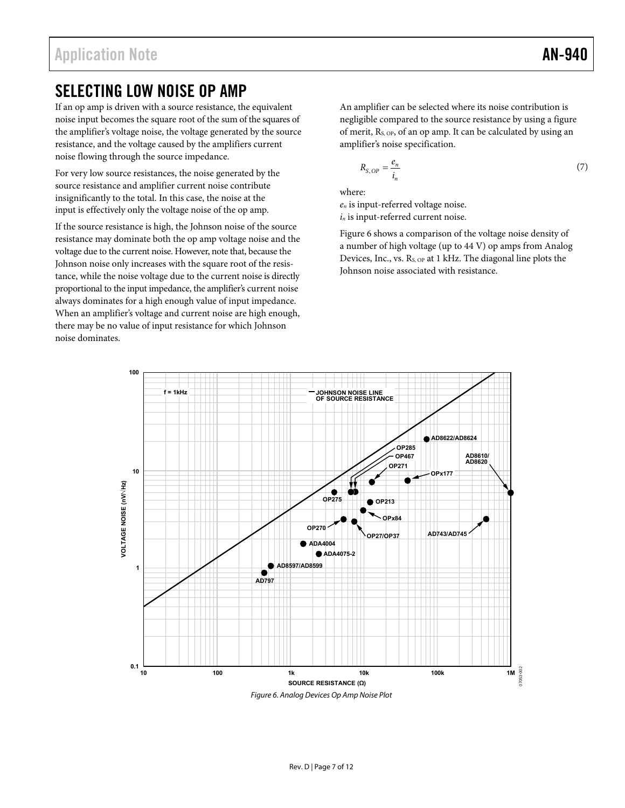## SELECTING LOW NOISE OP AMP

If an op amp is driven with a source resistance, the equivalent noise input becomes the square root of the sum of the squares of the amplifier's voltage noise, the voltage generated by the source resistance, and the voltage caused by the amplifiers current noise flowing through the source impedance.

For very low source resistances, the noise generated by the source resistance and amplifier current noise contribute insignificantly to the total. In this case, the noise at the input is effectively only the voltage noise of the op amp.

If the source resistance is high, the Johnson noise of the source resistance may dominate both the op amp voltage noise and the voltage due to the current noise. However, note that, because the Johnson noise only increases with the square root of the resistance, while the noise voltage due to the current noise is directly proportional to the input impedance, the amplifier's current noise always dominates for a high enough value of input impedance. When an amplifier's voltage and current noise are high enough, there may be no value of input resistance for which Johnson noise dominates.

An amplifier can be selected where its noise contribution is negligible compared to the source resistance by using a figure of merit, RS, OP, of an op amp. It can be calculated by using an amplifier's noise specification.

$$
R_{S,OP} = \frac{e_n}{i_n} \tag{7}
$$

where:

*en* is input-referred voltage noise. *in* is input-referred current noise.

Figure 6 shows a comparison of the voltage noise density of a number of high voltage (up to 44 V) op amps from Analog Devices, Inc., vs. R<sub>S, OP</sub> at 1 kHz. The diagonal line plots the Johnson noise associated with resistance.

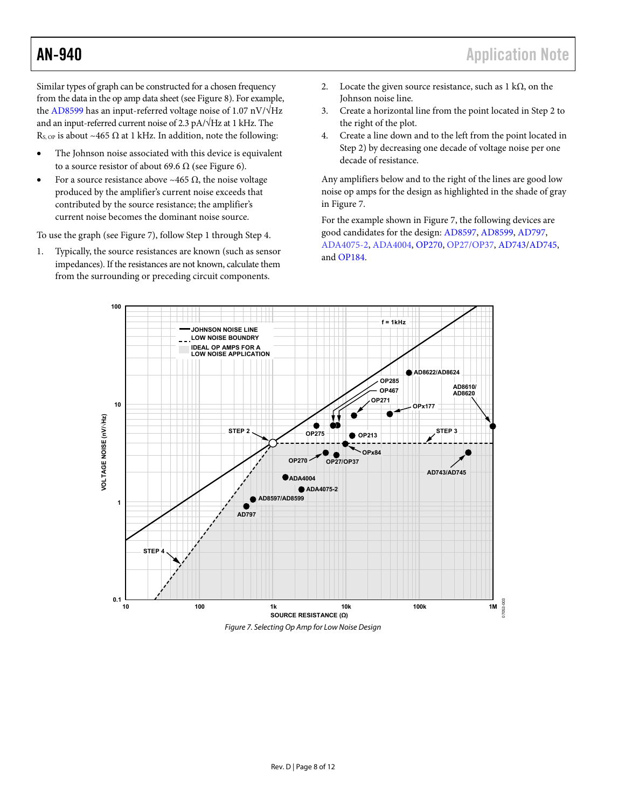Similar types of graph can be constructed for a chosen frequency from the data in the op amp data sheet (see Figure 8). For example, the AD8599 has an input-referred voltage noise of 1.07 nV/ $\sqrt{Hz}$ and an input-referred current noise of 2.3 pA/√Hz at 1 kHz. The R<sub>S, OP</sub> is about ~465  $\Omega$  at 1 kHz. In addition, note the following:

- The Johnson noise associated with this device is equivalent to a source resistor of about 69.6  $\Omega$  (see Figure 6).
- For a source resistance above ~465  $\Omega$ , the noise voltage produced by the amplifier's current noise exceeds that contributed by the source resistance; the amplifier's current noise becomes the dominant noise source.

To use the graph (see Figure 7), follow Step 1 through Step 4.

1. Typically, the source resistances are known (such as sensor impedances). If the resistances are not known, calculate them from the surrounding or preceding circuit components.

- 2. Locate the given source resistance, such as  $1 \text{ k}\Omega$ , on the Johnson noise line.
- 3. Create a horizontal line from the point located in Step 2 to the right of the plot.
- 4. Create a line down and to the left from the point located in Step 2) by decreasing one decade of voltage noise per one decade of resistance.

Any amplifiers below and to the right of the lines are good low noise op amps for the design as highlighted in the shade of gray in Figure 7.

For the example shown in Figure 7, the following devices are good candidates for the design: AD8597, AD8599, AD797, ADA4075-2, ADA4004, OP270, OP27/OP37, AD743/AD745, and OP184.



Figure 7. Selecting Op Amp for Low Noise Design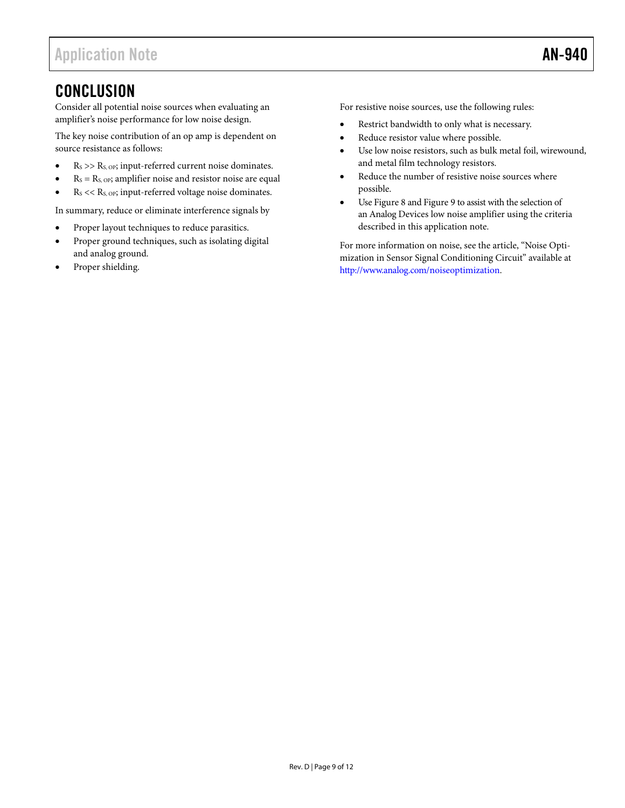## **CONCLUSION**

Consider all potential noise sources when evaluating an amplifier's noise performance for low noise design.

The key noise contribution of an op amp is dependent on source resistance as follows:

- $R<sub>S</sub> >> R<sub>S, OP</sub>$ ; input-referred current noise dominates.
- $R<sub>S</sub> = R<sub>S, OP</sub>$ ; amplifier noise and resistor noise are equal
- $R_S \ll R_{S, OP}$ ; input-referred voltage noise dominates.

In summary, reduce or eliminate interference signals by

- Proper layout techniques to reduce parasitics.
- Proper ground techniques, such as isolating digital and analog ground.
- Proper shielding.

For resistive noise sources, use the following rules:

- Restrict bandwidth to only what is necessary.
- Reduce resistor value where possible.
- Use low noise resistors, such as bulk metal foil, wirewound, and metal film technology resistors.
- Reduce the number of resistive noise sources where possible.
- Use Figure 8 and Figure 9 to assist with the selection of an Analog Devices low noise amplifier using the criteria described in this application note.

For more information on noise, see the article, "Noise Optimization in Sensor Signal Conditioning Circuit" available at http://www.analog.com/noiseoptimization.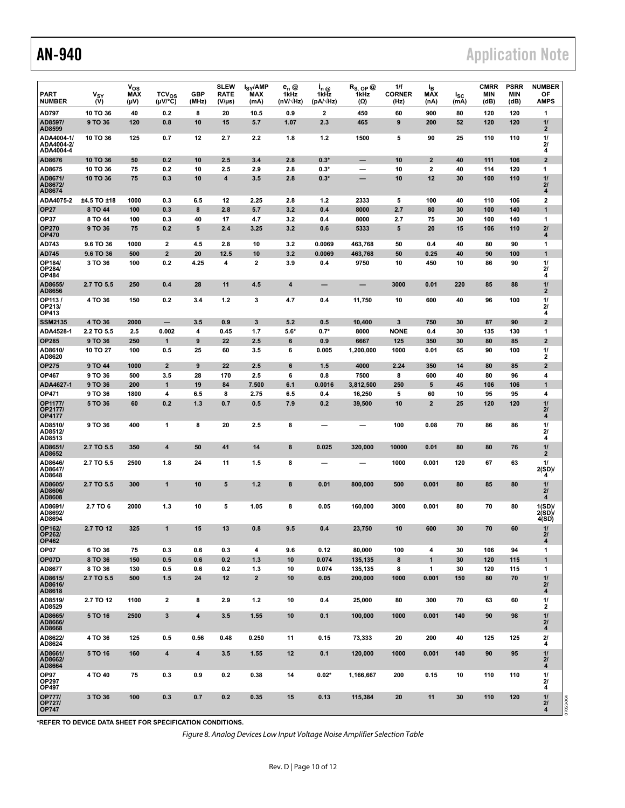# AN-940 **AN-940 Application Note**

|                                                |                    | $v_{\rm os}$                    |                          |                         | <b>SLEW</b>                | I <sub>SY</sub> /AMP | $e_n \otimes$            | $I_n$ @                  | $R_{\rm S, \; OP}$ @ | 1/f                   | l <sub>B</sub>          |                  | <b>CMRR</b> | <b>PSRR</b> | <b>NUMBER</b>                       |
|------------------------------------------------|--------------------|---------------------------------|--------------------------|-------------------------|----------------------------|----------------------|--------------------------|--------------------------|----------------------|-----------------------|-------------------------|------------------|-------------|-------------|-------------------------------------|
| <b>PART</b><br><b>NUMBER</b>                   | $V_{SY}$<br>(V)    | <b>MAX</b><br>(V <sub>u</sub> ) | $TCV_{OS}$<br>(µV/°C)    | <b>GBP</b><br>(MHz)     | <b>RATE</b><br>$(V/\mu s)$ | <b>MAX</b><br>(mA)   | 1kHz<br>$(nV/\sqrt{Hz})$ | 1kHz<br>$(pA/\sqrt{Hz})$ | 1kHz<br>$(\Omega)$   | <b>CORNER</b><br>(Hz) | <b>MAX</b><br>(nA)      | $I_{SC}$<br>(mA) | MIN<br>(dB) | MIN<br>(dB) | ОF<br><b>AMPS</b>                   |
| AD797                                          | 10 TO 36           | 40                              | 0.2                      | 8                       | 20                         | 10.5                 | 0.9                      | 2                        | 450                  | 60                    | 900                     | 80               | 120         | 120         | 1                                   |
| AD8597/<br>AD8599                              | 9 TO 36            | 120                             | 0.8                      | 10                      | 15                         | 5.7                  | 1.07                     | 2.3                      | 465                  | 9                     | 200                     | 52               | 120         | 120         | 11<br>2                             |
| ADA4004-1/<br>ADA4004-2/<br>ADA4004-4          | 10 TO 36           | 125                             | 0.7                      | 12                      | 2.7                        | 2.2                  | 1.8                      | 1.2                      | 1500                 | 5                     | 90                      | 25               | 110         | 110         | 11<br>21<br>4                       |
| AD8676                                         | 10 TO 36           | 50                              | 0.2                      | 10                      | 2.5                        | 3.4                  | 2.8                      | $0.3*$                   | -                    | 10                    | $\mathbf{2}$            | 40               | 111         | 106         | $\overline{\mathbf{2}}$             |
| AD8675                                         | 10 TO 36           | 75                              | 0.2                      | 10                      | 2.5                        | 2.9                  | 2.8                      | $0.3*$                   |                      | 10                    | $\mathbf{2}$            | 40               | 114         | 120         | 1                                   |
| AD8671/<br>AD8672/<br>AD8674                   | 10 TO 36           | 75                              | 0.3                      | 10                      | 4                          | 3.5                  | 2.8                      | $0.3*$                   |                      | 10                    | 12                      | 30               | 100         | 110         | 11<br>21<br>4                       |
| ADA4075-2                                      | ±4.5 TO ±18        | 1000                            | 0.3                      | 6.5                     | 12                         | 2.25                 | 2.8                      | 1.2                      | 2333                 | 5                     | 100                     | 40               | 110         | 106         | 2                                   |
| <b>OP27</b>                                    | 8 TO 44            | 100                             | 0.3                      | 8                       | 2.8                        | 5.7                  | 3.2                      | 0.4                      | 8000                 | 2.7                   | 80                      | 30               | 100         | 140         | 1                                   |
| <b>OP37</b><br><b>OP270</b><br><b>OP470</b>    | 8 TO 44<br>9 TO 36 | 100<br>75                       | 0.3<br>0.2               | 40<br>5                 | 17<br>2.4                  | 4.7<br>3.25          | 3.2<br>3.2               | 0.4<br>0.6               | 8000<br>5333         | 2.7<br>5              | 75<br>20                | 30<br>15         | 100<br>106  | 140<br>110  | 1<br>21<br>4                        |
| AD743                                          | 9.6 TO 36          | 1000                            | $\mathbf{2}$             | 4.5                     | 2.8                        | 10                   | 3.2                      | 0.0069                   | 463,768              | 50                    | 0.4                     | 40               | 80          | 90          | 1                                   |
| AD745                                          | <b>9.6 TO 36</b>   | 500                             | $\overline{\mathbf{2}}$  | 20                      | 12.5                       | 10                   | 3.2                      | 0.0069                   | 463,768              | 50                    | 0.25                    | 40               | 90          | 100         | 1                                   |
| OP184/<br>OP284/<br>OP484                      | 3 TO 36            | 100                             | 0.2                      | 4.25                    | 4                          | 2                    | 3.9                      | 0.4                      | 9750                 | 10                    | 450                     | 10               | 86          | 90          | 11<br>$\mathbf{z}$<br>4             |
| AD8655/<br>AD8656                              | 2.7 TO 5.5         | 250                             | 0.4                      | 28                      | 11                         | 4.5                  | $\boldsymbol{4}$         |                          |                      | 3000                  | 0.01                    | 220              | 85          | 88          | 11<br>2                             |
| OP113/<br>OP213/<br>OP413                      | 4 TO 36            | 150                             | 0.2                      | 3.4                     | 1.2                        | 3                    | 4.7                      | 0.4                      | 11,750               | 10                    | 600                     | 40               | 96          | 100         | 11<br>21<br>4                       |
| <b>SSM2135</b>                                 | 4 TO 36            | 2000                            | $\overline{\phantom{0}}$ | 3.5                     | 0.9                        | 3                    | 5.2                      | 0.5                      | 10,400               | 3                     | 750                     | 30               | 87          | 90          | $\overline{\mathbf{2}}$             |
| ADA4528-1                                      | 2.2 TO 5.5         | 2.5                             | 0.002                    | 4                       | 0.45                       | 1.7                  | $5.6^*$                  | $0.7*$                   | 8000                 | <b>NONE</b>           | 0.4                     | 30               | 135         | 130         | 1                                   |
| <b>OP285</b>                                   | 9 TO 36            | 250                             | 1                        | 9                       | 22                         | 2.5                  | 6                        | 0.9                      | 6667                 | 125                   | 350                     | 30               | 80          | 85          | $\overline{\mathbf{2}}$             |
| AD8610/<br>AD8620                              | 10 TO 27           | 100                             | 0.5                      | 25                      | 60                         | 3.5                  | 6                        | 0.005                    | 1,200,000            | 1000                  | 0.01                    | 65               | 90          | 100         | 11<br>2                             |
| <b>OP275</b>                                   | 9 TO 44            | 1000                            | $\overline{2}$           | 9                       | 22                         | 2.5                  | 6                        | 1.5                      | 4000                 | 2.24                  | 350                     | 14               | 80          | 85          | $\mathbf{2}$                        |
| OP467<br>ADA4627-1                             | 9 TO 36            | 500<br>200                      | 3.5<br>1                 | 28                      | 170                        | 2.5                  | 6                        | 0.8                      | 7500                 | 8                     | 600<br>5                | 40<br>45         | 80<br>106   | 96<br>106   | 4<br>1                              |
| <b>OP471</b>                                   | 9 TO 36<br>9 TO 36 | 1800                            | 4                        | 19<br>6.5               | 84<br>8                    | 7.500<br>2.75        | 6.1<br>6.5               | 0.0016<br>0.4            | 3,812,500<br>16,250  | 250<br>5              | 60                      | 10               | 95          | 95          | 4                                   |
| OP1177/<br>OP2177<br><b>OP4177</b>             | 5 TO 36            | 60                              | 0.2                      | 1.3                     | 0.7                        | 0.5                  | 7.9                      | 0.2                      | 39,500               | 10                    | $\overline{\mathbf{2}}$ | 25               | 120         | 120         | $\frac{1}{2}$<br>21<br>4            |
| AD8510/<br>AD8512/<br>AD8513                   | 9 TO 36            | 400                             | 1                        | 8                       | 20                         | 2.5                  | 8                        |                          |                      | 100                   | 0.08                    | 70               | 86          | 86          | 11<br>$\mathbf{z}$<br>4             |
| AD8651/<br>AD8652                              | 2.7 TO 5.5         | 350                             | 4                        | 50                      | 41                         | 14                   | 8                        | 0.025                    | 320,000              | 10000                 | 0.01                    | 80               | 80          | 76          | 11<br>2                             |
| AD8646/<br>AD8647/<br>AD8648                   | 2.7 TO 5.5         | 2500                            | 1.8                      | 24                      | 11                         | 1.5                  | 8                        |                          |                      | 1000                  | 0.001                   | 120              | 67          | 63          | 11<br>2(SD)<br>4                    |
| AD8605/<br>AD8606/<br>AD8608                   | 2.7 TO 5.5         | 300                             | 1                        | 10                      | 5                          | 1.2                  | 8                        | 0.01                     | 800,000              | 500                   | 0.001                   | 80               | 85          | 80          | 11<br>21<br>4                       |
| AD8691/<br>AD8692/<br>AD8694                   | 2.7 TO 6           | 2000                            | 1.3                      | 10                      | 5                          | 1.05                 | 8                        | 0.05                     | 160,000              | 3000                  | 0.001                   | 80               | 70          | 80          | 1(SD)<br>2(SD)<br>4(SD)             |
| <b>OP162/</b><br>OP262/<br><b>OP462</b>        | 2.7 TO 12          | 325                             | 1                        | 15                      | 13                         | 0.8                  | 9.5                      | 0.4                      | 23,750               | 10                    | 600                     | 30               | 70          | 60          | 11<br>21<br>$\overline{\mathbf{4}}$ |
| OP07                                           | 6 TO 36            | 75                              | 0.3                      | 0.6                     | 0.3                        | 4                    | 9.6                      | 0.12                     | 80,000               | 100                   | 4                       | 30               | 106         | 94          | 1                                   |
| OP07D                                          | 8 TO 36            | 150                             | 0.5                      | 0.6                     | 0.2                        | 1.3                  | 10                       | 0.074                    | 135,135              | 8                     | $\mathbf{1}$            | 30               | 120         | 115         | $\mathbf{1}$                        |
| AD8677                                         | 8 TO 36            | 130                             | 0.5                      | 0.6                     | 0.2                        | 1.3                  | 10                       | 0.074                    | 135,135              | 8                     | 1                       | 30               | 120         | 115         | 1                                   |
| AD8615/<br>AD8616/<br>AD8618                   | 2.7 TO 5.5         | 500                             | 1.5                      | 24                      | 12                         | $\mathbf{2}$         | 10                       | 0.05                     | 200,000              | 1000                  | 0.001                   | 150              | 80          | 70          | 11<br>21<br>4                       |
| AD8519/<br>AD8529                              | 2.7 TO 12          | 1100                            | $\mathbf 2$              | 8                       | 2.9                        | 1.2                  | 10                       | 0.4                      | 25,000               | 80                    | 300                     | 70               | 63          | 60          | 11<br>2                             |
| AD8665/<br>AD8666/<br>AD8668                   | 5 TO 16            | 2500                            | 3                        | $\overline{\mathbf{4}}$ | 3.5                        | 1.55                 | 10                       | 0.1                      | 100,000              | 1000                  | 0.001                   | 140              | 90          | 98          | 11<br>21<br>4                       |
| AD8622/<br>AD8624                              | 4 TO 36            | 125                             | 0.5                      | 0.56                    | 0.48                       | 0.250                | 11                       | 0.15                     | 73,333               | 20                    | 200                     | 40               | 125         | 125         | 21<br>4                             |
| AD8661/<br>AD8662/<br>AD8664                   | 5 TO 16            | 160                             | 4                        | $\overline{\mathbf{4}}$ | 3.5                        | 1.55                 | 12                       | 0.1                      | 120,000              | 1000                  | 0.001                   | 140              | 90          | 95          | 11<br>21<br>4                       |
| OP97<br>OP297<br>OP497                         | 4 TO 40            | 75                              | 0.3                      | 0.9                     | 0.2                        | 0.38                 | 14                       | $0.02*$                  | 1,166,667            | 200                   | 0.15                    | 10               | 110         | 110         | 11<br>21<br>4                       |
| <b>OP777/</b><br><b>OP727/</b><br><b>OP747</b> | 3 TO 36            | 100                             | 0.3                      | 0.7                     | 0.2                        | 0.35                 | 15                       | 0.13                     | 115,384              | 20                    | 11                      | 30               | 110         | 120         | 11<br>21<br>4                       |

**\*REFER TO DEVICE DATA SHEET FOR SPECIFICATION CONDITIONS.**

Figure 8. Analog Devices Low Input Voltage Noise Amplifier Selection Table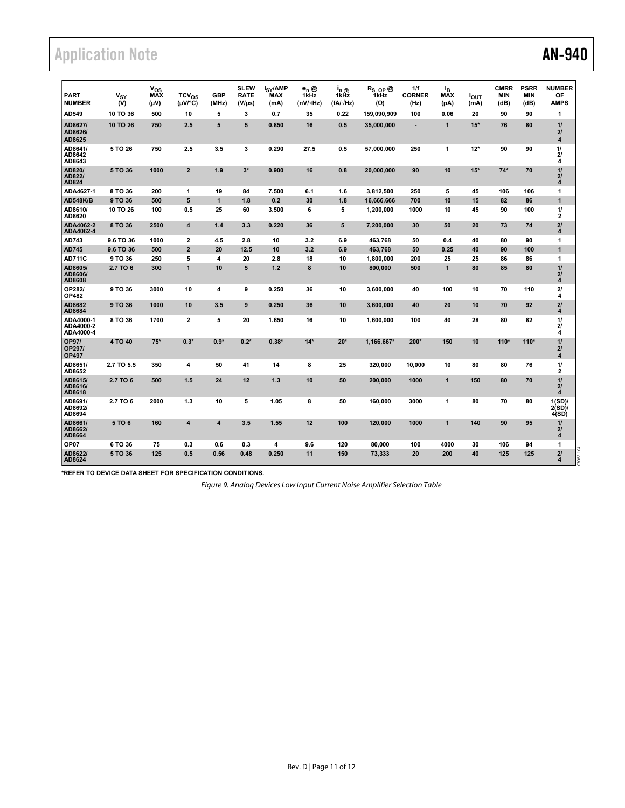# Application Note **AN-940**

| <b>PART</b><br><b>NUMBER</b>           | $\mathbf{v}_{\mathbf{SY}}$<br>(V) | $v_{os}$<br><b>MAX</b><br>(V <sub>u</sub> ) | $TCV_{OS}$<br>(µV/°C)   | <b>GBP</b><br>(MHz)     | <b>SLEW</b><br><b>RATE</b><br>(V/µs) | l <sub>SY</sub> /AMP<br>MAX<br>(mA) | $e_n \otimes$<br>1kHz<br>(nV/ $\sqrt{Hz}$ ) | i <sub>n @</sub><br>1kHz<br>$(fA/\sqrt{Hz})$ | $R_{S, OP}$ @<br>1kHz<br>(Ω) | 1/f<br><b>CORNER</b><br>(Hz) | l <sub>B</sub><br><b>MAX</b><br>(pA) | <b>I</b> out<br>(mA) | <b>CMRR</b><br><b>MIN</b><br>(dB) | <b>PSRR</b><br><b>MIN</b><br>(dB) | <b>NUMBER</b><br>OF<br><b>AMPS</b> |
|----------------------------------------|-----------------------------------|---------------------------------------------|-------------------------|-------------------------|--------------------------------------|-------------------------------------|---------------------------------------------|----------------------------------------------|------------------------------|------------------------------|--------------------------------------|----------------------|-----------------------------------|-----------------------------------|------------------------------------|
| AD549                                  | 10 TO 36                          | 500                                         | 10                      | 5                       | 3                                    | 0.7                                 | 35                                          | 0.22                                         | 159,090,909                  | 100                          | 0.06                                 | 20                   | 90                                | 90                                | 1                                  |
| AD8627/<br>AD8626/<br>AD8625           | 10 TO 26                          | 750                                         | 2.5                     | 5                       | 5                                    | 0.850                               | 16                                          | 0.5                                          | 35,000,000                   |                              | $\mathbf{1}$                         | $15*$                | 76                                | 80                                | 11<br>21<br>$\overline{4}$         |
| AD8641/<br>AD8642<br>AD8643            | 5 TO 26                           | 750                                         | 2.5                     | 3.5                     | 3                                    | 0.290                               | 27.5                                        | 0.5                                          | 57,000,000                   | 250                          | 1                                    | $12*$                | 90                                | 90                                | 11<br>21<br>4                      |
| AD820/<br>AD822/<br>AD824              | 5 TO 36                           | 1000                                        | $\overline{\mathbf{2}}$ | 1.9                     | $3*$                                 | 0.900                               | 16                                          | 0.8                                          | 20,000,000                   | 90                           | 10                                   | $15*$                | $74*$                             | 70                                | 11<br>21<br>$\overline{4}$         |
| ADA4627-1                              | 8 TO 36                           | 200                                         | 1                       | 19                      | 84                                   | 7.500                               | 6.1                                         | 1.6                                          | 3,812,500                    | 250                          | 5                                    | 45                   | 106                               | 106                               | 1                                  |
| <b>AD548K/B</b>                        | 9 TO 36                           | 500                                         | 5                       | 1                       | 1.8                                  | 0.2                                 | 30                                          | 1.8                                          | 16,666,666                   | 700                          | 10                                   | 15                   | 82                                | 86                                | $\mathbf{1}$                       |
| AD8610/<br>AD8620                      | 10 TO 26                          | 100                                         | 0.5                     | 25                      | 60                                   | 3.500                               | 6                                           | 5                                            | 1,200,000                    | 1000                         | 10                                   | 45                   | 90                                | 100                               | 11<br>$\mathbf{2}$                 |
| ADA4062-2<br>ADA4062-4                 | 8 TO 36                           | 2500                                        | 4                       | 1.4                     | 3.3                                  | 0.220                               | 36                                          | 5                                            | 7,200,000                    | 30                           | 50                                   | 20                   | 73                                | 74                                | 21<br>$\overline{4}$               |
| AD743                                  | 9.6 TO 36                         | 1000                                        | $\mathbf{2}$            | 4.5                     | 2.8                                  | 10                                  | 3.2                                         | 6.9                                          | 463,768                      | 50                           | 0.4                                  | 40                   | 80                                | 90                                | 1                                  |
| AD745                                  | 9.6 TO 36                         | 500                                         | $\overline{2}$          | 20                      | 12.5                                 | 10                                  | 3.2                                         | 6.9                                          | 463,768                      | 50                           | 0.25                                 | 40                   | 90                                | 100                               | 1                                  |
| <b>AD711C</b>                          | 9 TO 36                           | 250                                         | 5                       | 4                       | 20                                   | 2.8                                 | 18                                          | 10                                           | 1.800.000                    | 200                          | 25                                   | 25                   | 86                                | 86                                | 1                                  |
| AD8605/<br>AD8606/<br>AD8608           | 2.7 TO 6                          | 300                                         | $\mathbf{1}$            | 10                      | 5                                    | 1.2                                 | 8                                           | 10                                           | 800,000                      | 500                          | $\mathbf{1}$                         | 80                   | 85                                | 80                                | 11<br>21<br>$\overline{4}$         |
| OP282<br><b>OP482</b>                  | 9 TO 36                           | 3000                                        | 10                      | 4                       | 9                                    | 0.250                               | 36                                          | 10                                           | 3,600,000                    | 40                           | 100                                  | 10                   | 70                                | 110                               | 21<br>4                            |
| AD8682<br>AD8684                       | 9 TO 36                           | 1000                                        | 10                      | 3.5                     | 9                                    | 0.250                               | 36                                          | 10                                           | 3,600,000                    | 40                           | 20                                   | 10                   | 70                                | 92                                | 21<br>$\overline{4}$               |
| ADA4000-1<br>ADA4000-2<br>ADA4000-4    | 8 TO 36                           | 1700                                        | $\overline{\mathbf{c}}$ | 5                       | 20                                   | 1.650                               | 16                                          | 10                                           | 1,600,000                    | 100                          | 40                                   | 28                   | 80                                | 82                                | 11<br>21<br>4                      |
| <b>OP97/</b><br>OP297/<br><b>OP497</b> | 4 TO 40                           | $75*$                                       | $0.3*$                  | $0.9*$                  | $0.2*$                               | $0.38*$                             | $14*$                                       | $20*$                                        | 1,166,667*                   | 200*                         | 150                                  | 10                   | $110*$                            | $110*$                            | 11<br>21<br>$\boldsymbol{A}$       |
| AD8651/<br>AD8652                      | 2.7 TO 5.5                        | 350                                         | 4                       | 50                      | 41                                   | 14                                  | 8                                           | 25                                           | 320.000                      | 10.000                       | 10                                   | 80                   | 80                                | 76                                | 11<br>2                            |
| AD8615/<br>AD8616/<br>AD8618           | 2.7 TO 6                          | 500                                         | 1.5                     | 24                      | 12                                   | 1.3                                 | 10                                          | 50                                           | 200,000                      | 1000                         | $\mathbf{1}$                         | 150                  | 80                                | 70                                | 11<br>21<br>$\overline{4}$         |
| AD8691/<br>AD8692/<br>AD8694           | 2.7 TO 6                          | 2000                                        | 1.3                     | 10                      | 5                                    | 1.05                                | 8                                           | 50                                           | 160.000                      | 3000                         | 1                                    | 80                   | 70                                | 80                                | 1(SD)<br>2(SD)<br>4(SD)            |
| AD8661/<br>AD8662/<br>AD8664           | 5 TO 6                            | 160                                         | 4                       | $\overline{\mathbf{4}}$ | 3.5                                  | 1.55                                | 12                                          | 100                                          | 120,000                      | 1000                         | $\mathbf{1}$                         | 140                  | 90                                | 95                                | 11<br>21<br>$\overline{4}$         |
| OP <sub>07</sub>                       | 6 TO 36                           | 75                                          | 0.3                     | 0.6                     | 0.3                                  | 4                                   | 9.6                                         | 120                                          | 80.000                       | 100                          | 4000                                 | 30                   | 106                               | 94                                | 1                                  |
| AD8622/<br>AD8624                      | 5 TO 36                           | 125                                         | 0.5                     | 0.56                    | 0.48                                 | 0.250                               | 11                                          | 150                                          | 73,333                       | 20                           | 200                                  | 40                   | 125                               | 125                               | 21<br>$\boldsymbol{4}$             |

**\*REFER TO DEVICE DATA SHEET FOR SPECIFICATION CONDITIONS.**

Figure 9. Analog Devices Low Input Current Noise Amplifier Selection Table